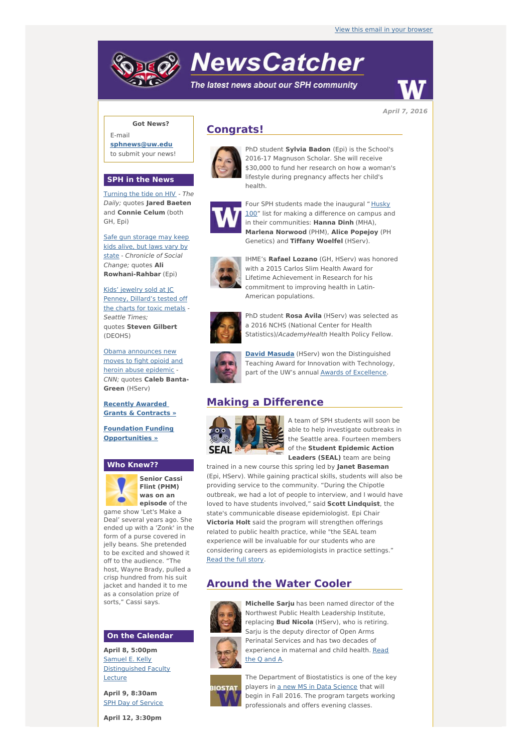# **NewsCatcher**

The latest news about our SPH community



**April 7, 2016**

## **Got News?**

E-mail **[sphnews@uw.edu](mailto:sphnews@uw.edu)** to submit your news!

#### **SPH in the News**

[Turning](http://engage.washington.edu/site/R?i=FcG-pzRvOUQrmUC41ZTxRQ) the tide on HIV - The Daily; quotes **Jared Baeten** and **Connie Celum** (both GH, Epi)

Safe gun storage may keep kids alive, but laws vary by state - [Chronicle](http://engage.washington.edu/site/R?i=6W6ekJVITafFD6kU6LOFTA) of Social Change; quotes **Ali Rowhani-Rahbar** (Epi)

Kids' jewelry sold at JC Penney, [Dillard's](http://engage.washington.edu/site/R?i=ojLAafot6CjaMM1hnbxU-A) tested off the charts for toxic metals - Seattle Times; quotes **Steven Gilbert** (DEOHS)

Obama [announces](http://engage.washington.edu/site/R?i=kky7FiAzBdSa8fAlHPHfVQ) new moves to fight opioid and heroin abuse epidemic -CNN; quotes **Caleb Banta-Green** (HServ)

**Recently [Awarded](http://engage.washington.edu/site/R?i=-0fkG-K0WdrFm3NFcr4S0w) Grants & Contracts »**

**Foundation Funding [Opportunities](http://engage.washington.edu/site/R?i=MnVUtQgKKUJ2B0LA7iWCsA) »**

## **Who Knew??**



**Senior Cassi Flint (PHM) was on an episode** of the game show 'Let's Make a

Deal' several years ago. She ended up with a 'Zonk' in the form of a purse covered in jelly beans. She pretended to be excited and showed it off to the audience. "The host, Wayne Brady, pulled a crisp hundred from his suit jacket and handed it to me as a consolation prize of sorts," Cassi says.

#### **On the Calendar**

**April 8, 5:00pm** Samuel E. Kelly [Distinguished](http://engage.washington.edu/site/R?i=QMlpwPJehOURZ4LWWo6eCg) Faculty Lecture

**April 9, 8:30am** SPH Day of [Service](http://engage.washington.edu/site/R?i=vsMX-S9Hqkz7F8IQbLekQQ)

**April 12, 3:30pm**

# **Congrats!**



PhD student **Sylvia Badon** (Epi) is the School's 2016-17 Magnuson Scholar. She will receive \$30,000 to fund her research on how a woman's lifestyle during pregnancy affects her child's health.



Four SPH students made the inaugural " Husky 100" list for making a [difference](http://engage.washington.edu/site/R?i=0T4Mp8JRCUJWQzd2As9RZg) on campus and in their communities: **Hanna Dinh** (MHA), **Marlena Norwood** (PHM), **Alice Popejoy** (PH Genetics) and **Tiffany Woelfel** (HServ).



IHME's **Rafael Lozano** (GH, HServ) was honored with a 2015 Carlos Slim Health Award for Lifetime Achievement in Research for his commitment to improving health in Latin-American populations.



PhD student **Rosa Avila** (HServ) was selected as a 2016 NCHS (National Center for Health Statistics)/AcademyHealth Health Policy Fellow.



**David [Masuda](http://engage.washington.edu/site/R?i=FInsg3BZMdXXT5WcDBw0cA)** (HServ) won the Distinguished Teaching Award for Innovation with Technology, part of the UW's annual **Awards of [Excellence](http://engage.washington.edu/site/R?i=O8WWA6rBAqqWeMuvmOcBTA)**.

# **Making a Difference**



A team of SPH students will soon be able to help investigate outbreaks in the Seattle area. Fourteen members of the **Student Epidemic Action Leaders (SEAL)** team are being

trained in a new course this spring led by **Janet Baseman** (Epi, HServ). While gaining practical skills, students will also be providing service to the community. "During the Chipotle outbreak, we had a lot of people to interview, and I would have loved to have students involved," said **Scott Lindquist**, the state's communicable disease epidemiologist. Epi Chair **Victoria Holt** said the program will strengthen offerings related to public health practice, while "the SEAL team experience will be invaluable for our students who are considering careers as epidemiologists in practice settings." [Read](http://engage.washington.edu/site/R?i=8nklpKFgoKc64QkVpSYFXw) the full story.

# **Around the Water Cooler**



**Michelle Sarju** has been named director of the Northwest Public Health Leadership Institute, replacing **Bud Nicola** (HServ), who is retiring.



Sarju is the deputy director of Open Arms Perinatal Services and has two decades of [experience](http://engage.washington.edu/site/R?i=x_C8hgyR5BY_bF_Q3Lh95A) in maternal and child health. Read the Q and A. The Department of Biostatistics is one of the key

players in a new MS in Data [Science](http://engage.washington.edu/site/R?i=L3EEdHbzbhRV9v-DhjN63g) that will begin in Fall 2016. The program targets working professionals and offers evening classes.